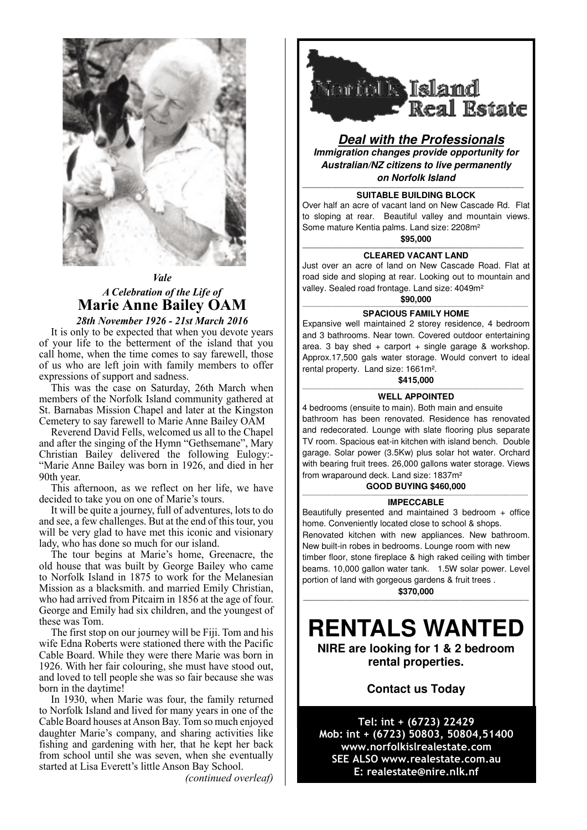

# *Vale A Celebration of the Life of* **Marie Anne Bailey OAM**

*28th November 1926 - 21st March 2016*

It is only to be expected that when you devote years of your life to the betterment of the island that you call home, when the time comes to say farewell, those of us who are left join with family members to offer expressions of support and sadness.

This was the case on Saturday, 26th March when members of the Norfolk Island community gathered at St. Barnabas Mission Chapel and later at the Kingston Cemetery to say farewell to Marie Anne Bailey OAM

Reverend David Fells, welcomed us all to the Chapel and after the singing of the Hymn "Gethsemane", Mary Christian Bailey delivered the following Eulogy:- "Marie Anne Bailey was born in 1926, and died in her 90th year.

This afternoon, as we reflect on her life, we have decided to take you on one of Marie's tours.

It will be quite a journey, full of adventures, lots to do and see, a few challenges. But at the end of this tour, you will be very glad to have met this iconic and visionary lady, who has done so much for our island.

The tour begins at Marie's home, Greenacre, the old house that was built by George Bailey who came to Norfolk Island in 1875 to work for the Melanesian Mission as a blacksmith. and married Emily Christian, who had arrived from Pitcairn in 1856 at the age of four. George and Emily had six children, and the youngest of these was Tom.

The first stop on our journey will be Fiji. Tom and his wife Edna Roberts were stationed there with the Pacific Cable Board. While they were there Marie was born in 1926. With her fair colouring, she must have stood out, and loved to tell people she was so fair because she was born in the daytime!

In 1930, when Marie was four, the family returned to Norfolk Island and lived for many years in one of the Cable Board houses at Anson Bay. Tom so much enjoyed daughter Marie's company, and sharing activities like fishing and gardening with her, that he kept her back from school until she was seven, when she eventually started at Lisa Everett's little Anson Bay School.

*(continued overleaf)*



**Deal with the Professionals Immigration changes provide opportunity for Australian/NZ citizens to live permanently on Norfolk Island**

### **———————————————————————————————————————————————————— SUITABLE BUILDING BLOCK**

Over half an acre of vacant land on New Cascade Rd. Flat to sloping at rear. Beautiful valley and mountain views. Some mature Kentia palms. Land size: 2208m² **\$95,000 ————————————————————————————————————————————————————**

### **CLEARED VACANT LAND**

Just over an acre of land on New Cascade Road. Flat at road side and sloping at rear. Looking out to mountain and valley. Sealed road frontage. Land size: 4049m²

## **\$90,000** —————————————————————————————————————————————————————

### **SPACIOUS FAMILY HOME**

Expansive well maintained 2 storey residence, 4 bedroom and 3 bathrooms. Near town. Covered outdoor entertaining area. 3 bay shed + carport + single garage  $&$  workshop. Approx.17,500 gals water storage. Would convert to ideal rental property. Land size: 1661m².

# **\$415,000** ————————————————————————————————————————————————————

### **WELL APPOINTED**

4 bedrooms (ensuite to main). Both main and ensuite bathroom has been renovated. Residence has renovated and redecorated. Lounge with slate flooring plus separate TV room. Spacious eat-in kitchen with island bench. Double garage. Solar power (3.5Kw) plus solar hot water. Orchard with bearing fruit trees. 26,000 gallons water storage. Views from wraparound deck. Land size: 1837m²

### **GOOD BUYING \$460,000**

#### ————————————————————————————————————————————————————— **IMPECCABLE**

Beautifully presented and maintained 3 bedroom + office home. Conveniently located close to school & shops. Renovated kitchen with new appliances. New bathroom. New built-in robes in bedrooms. Lounge room with new timber floor, stone fireplace & high raked ceiling with timber beams. 10,000 gallon water tank. 1.5W solar power. Level portion of land with gorgeous gardens & fruit trees . **\$370,000 —————————————————————————————————————————————————————**

# **RENTALS WANTED**

**NIRE are looking for 1 & 2 bedroom rental properties.** 

## **Contact us Today**

Tel: int + (6723) 22429 Mob: int + (6723) 50803, 50804, 51400 www.norfolkislrealestate.com SEE ALSO www.realestate.com.au E: realestate@nire.nlk.nf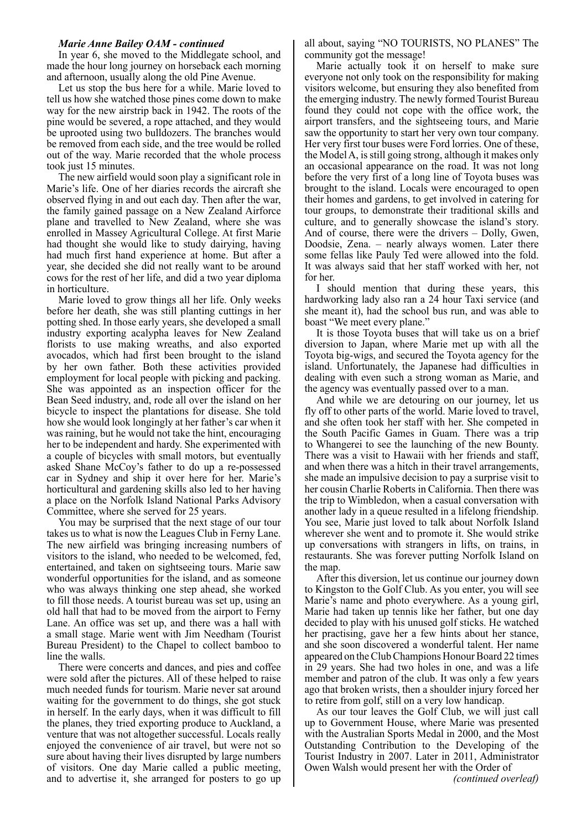In year 6, she moved to the Middlegate school, and made the hour long journey on horseback each morning and afternoon, usually along the old Pine Avenue.

Let us stop the bus here for a while. Marie loved to tell us how she watched those pines come down to make way for the new airstrip back in 1942. The roots of the pine would be severed, a rope attached, and they would be uprooted using two bulldozers. The branches would be removed from each side, and the tree would be rolled out of the way. Marie recorded that the whole process took just 15 minutes.

The new airfield would soon play a significant role in Marie's life. One of her diaries records the aircraft she observed flying in and out each day. Then after the war, the family gained passage on a New Zealand Airforce plane and travelled to New Zealand, where she was enrolled in Massey Agricultural College. At first Marie had thought she would like to study dairying, having had much first hand experience at home. But after a year, she decided she did not really want to be around cows for the rest of her life, and did a two year diploma in horticulture.

Marie loved to grow things all her life. Only weeks before her death, she was still planting cuttings in her potting shed. In those early years, she developed a small industry exporting acalypha leaves for New Zealand florists to use making wreaths, and also exported avocados, which had first been brought to the island by her own father. Both these activities provided employment for local people with picking and packing. She was appointed as an inspection officer for the Bean Seed industry, and, rode all over the island on her bicycle to inspect the plantations for disease. She told how she would look longingly at her father's car when it was raining, but he would not take the hint, encouraging her to be independent and hardy. She experimented with a couple of bicycles with small motors, but eventually asked Shane McCoy's father to do up a re-possessed car in Sydney and ship it over here for her. Marie's horticultural and gardening skills also led to her having a place on the Norfolk Island National Parks Advisory Committee, where she served for 25 years.

You may be surprised that the next stage of our tour takes us to what is now the Leagues Club in Ferny Lane. The new airfield was bringing increasing numbers of visitors to the island, who needed to be welcomed, fed, entertained, and taken on sightseeing tours. Marie saw wonderful opportunities for the island, and as someone who was always thinking one step ahead, she worked to fill those needs. A tourist bureau was set up, using an old hall that had to be moved from the airport to Ferny Lane. An office was set up, and there was a hall with a small stage. Marie went with Jim Needham (Tourist Bureau President) to the Chapel to collect bamboo to line the walls.

There were concerts and dances, and pies and coffee were sold after the pictures. All of these helped to raise much needed funds for tourism. Marie never sat around waiting for the government to do things, she got stuck in herself. In the early days, when it was difficult to fill the planes, they tried exporting produce to Auckland, a venture that was not altogether successful. Locals really enjoyed the convenience of air travel, but were not so sure about having their lives disrupted by large numbers of visitors. One day Marie called a public meeting, and to advertise it, she arranged for posters to go up

all about, saying "NO TOURISTS, NO PLANES" The community got the message!

Marie actually took it on herself to make sure everyone not only took on the responsibility for making visitors welcome, but ensuring they also benefited from the emerging industry. The newly formed Tourist Bureau found they could not cope with the office work, the airport transfers, and the sightseeing tours, and Marie saw the opportunity to start her very own tour company. Her very first tour buses were Ford lorries. One of these, the Model A, is still going strong, although it makes only an occasional appearance on the road. It was not long before the very first of a long line of Toyota buses was brought to the island. Locals were encouraged to open their homes and gardens, to get involved in catering for tour groups, to demonstrate their traditional skills and culture, and to generally showcase the island's story. And of course, there were the drivers – Dolly, Gwen, Doodsie, Zena. – nearly always women. Later there some fellas like Pauly Ted were allowed into the fold. It was always said that her staff worked with her, not for her.

I should mention that during these years, this hardworking lady also ran a 24 hour Taxi service (and she meant it), had the school bus run, and was able to boast "We meet every plane."

It is those Toyota buses that will take us on a brief diversion to Japan, where Marie met up with all the Toyota big-wigs, and secured the Toyota agency for the island. Unfortunately, the Japanese had difficulties in dealing with even such a strong woman as Marie, and the agency was eventually passed over to a man.

And while we are detouring on our journey, let us fly off to other parts of the world. Marie loved to travel, and she often took her staff with her. She competed in the South Pacific Games in Guam. There was a trip to Whangerei to see the launching of the new Bounty. There was a visit to Hawaii with her friends and staff, and when there was a hitch in their travel arrangements, she made an impulsive decision to pay a surprise visit to her cousin Charlie Roberts in California. Then there was the trip to Wimbledon, when a casual conversation with another lady in a queue resulted in a lifelong friendship. You see, Marie just loved to talk about Norfolk Island wherever she went and to promote it. She would strike up conversations with strangers in lifts, on trains, in restaurants. She was forever putting Norfolk Island on the map.

After this diversion, let us continue our journey down to Kingston to the Golf Club. As you enter, you will see Marie's name and photo everywhere. As a young girl, Marie had taken up tennis like her father, but one day decided to play with his unused golf sticks. He watched her practising, gave her a few hints about her stance, and she soon discovered a wonderful talent. Her name appeared on the Club Champions Honour Board 22 times in 29 years. She had two holes in one, and was a life member and patron of the club. It was only a few years ago that broken wrists, then a shoulder injury forced her to retire from golf, still on a very low handicap.

As our tour leaves the Golf Club, we will just call up to Government House, where Marie was presented with the Australian Sports Medal in 2000, and the Most Outstanding Contribution to the Developing of the Tourist Industry in 2007. Later in 2011, Administrator Owen Walsh would present her with the Order of *(continued overleaf)*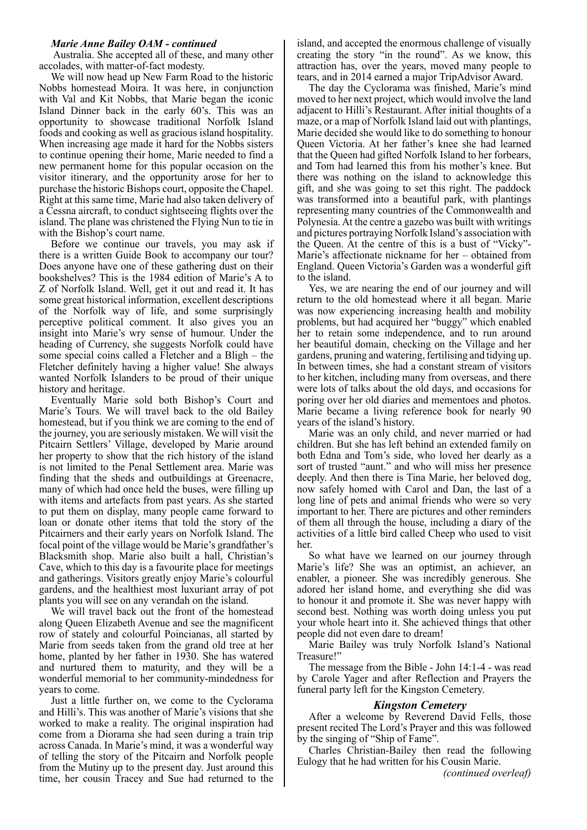Australia. She accepted all of these, and many other accolades, with matter-of-fact modesty.

We will now head up New Farm Road to the historic Nobbs homestead Moira. It was here, in conjunction with Val and Kit Nobbs, that Marie began the iconic Island Dinner back in the early 60's. This was an opportunity to showcase traditional Norfolk Island foods and cooking as well as gracious island hospitality. When increasing age made it hard for the Nobbs sisters to continue opening their home, Marie needed to find a new permanent home for this popular occasion on the visitor itinerary, and the opportunity arose for her to purchase the historic Bishops court, opposite the Chapel. Right at this same time, Marie had also taken delivery of a Cessna aircraft, to conduct sightseeing flights over the island. The plane was christened the Flying Nun to tie in with the Bishop's court name.

Before we continue our travels, you may ask if there is a written Guide Book to accompany our tour? Does anyone have one of these gathering dust on their bookshelves? This is the 1984 edition of Marie's A to Z of Norfolk Island. Well, get it out and read it. It has some great historical information, excellent descriptions of the Norfolk way of life, and some surprisingly perceptive political comment. It also gives you an insight into Marie's wry sense of humour. Under the heading of Currency, she suggests Norfolk could have some special coins called a Fletcher and a Bligh – the Fletcher definitely having a higher value! She always wanted Norfolk Islanders to be proud of their unique history and heritage.

Eventually Marie sold both Bishop's Court and Marie's Tours. We will travel back to the old Bailey homestead, but if you think we are coming to the end of the journey, you are seriously mistaken. We will visit the Pitcairn Settlers' Village, developed by Marie around her property to show that the rich history of the island is not limited to the Penal Settlement area. Marie was finding that the sheds and outbuildings at Greenacre, many of which had once held the buses, were filling up with items and artefacts from past years. As she started to put them on display, many people came forward to loan or donate other items that told the story of the Pitcairners and their early years on Norfolk Island. The focal point of the village would be Marie's grandfather's Blacksmith shop. Marie also built a hall, Christian's Cave, which to this day is a favourite place for meetings and gatherings. Visitors greatly enjoy Marie's colourful gardens, and the healthiest most luxuriant array of pot plants you will see on any verandah on the island.

We will travel back out the front of the homestead along Queen Elizabeth Avenue and see the magnificent row of stately and colourful Poincianas, all started by Marie from seeds taken from the grand old tree at her home, planted by her father in 1930. She has watered and nurtured them to maturity, and they will be a wonderful memorial to her community-mindedness for years to come.

Just a little further on, we come to the Cyclorama and Hilli's. This was another of Marie's visions that she worked to make a reality. The original inspiration had come from a Diorama she had seen during a train trip across Canada. In Marie's mind, it was a wonderful way of telling the story of the Pitcairn and Norfolk people from the Mutiny up to the present day. Just around this time, her cousin Tracey and Sue had returned to the island, and accepted the enormous challenge of visually creating the story "in the round". As we know, this attraction has, over the years, moved many people to tears, and in 2014 earned a major TripAdvisor Award.

The day the Cyclorama was finished, Marie's mind moved to her next project, which would involve the land adjacent to Hilli's Restaurant. After initial thoughts of a maze, or a map of Norfolk Island laid out with plantings, Marie decided she would like to do something to honour Queen Victoria. At her father's knee she had learned that the Queen had gifted Norfolk Island to her forbears, and Tom had learned this from his mother's knee. But there was nothing on the island to acknowledge this gift, and she was going to set this right. The paddock was transformed into a beautiful park, with plantings representing many countries of the Commonwealth and Polynesia. At the centre a gazebo was built with writings and pictures portraying Norfolk Island's association with the Queen. At the centre of this is a bust of "Vicky"- Marie's affectionate nickname for her – obtained from England. Queen Victoria's Garden was a wonderful gift to the island.

Yes, we are nearing the end of our journey and will return to the old homestead where it all began. Marie was now experiencing increasing health and mobility problems, but had acquired her "buggy" which enabled her to retain some independence, and to run around her beautiful domain, checking on the Village and her gardens, pruning and watering, fertilising and tidying up. In between times, she had a constant stream of visitors to her kitchen, including many from overseas, and there were lots of talks about the old days, and occasions for poring over her old diaries and mementoes and photos. Marie became a living reference book for nearly 90 years of the island's history.

Marie was an only child, and never married or had children. But she has left behind an extended family on both Edna and Tom's side, who loved her dearly as a sort of trusted "aunt." and who will miss her presence deeply. And then there is Tina Marie, her beloved dog, now safely homed with Carol and Dan, the last of a long line of pets and animal friends who were so very important to her. There are pictures and other reminders of them all through the house, including a diary of the activities of a little bird called Cheep who used to visit her.

So what have we learned on our journey through Marie's life? She was an optimist, an achiever, an enabler, a pioneer. She was incredibly generous. She adored her island home, and everything she did was to honour it and promote it. She was never happy with second best. Nothing was worth doing unless you put your whole heart into it. She achieved things that other people did not even dare to dream!

Marie Bailey was truly Norfolk Island's National Treasure!"

The message from the Bible - John 14:1-4 - was read by Carole Yager and after Reflection and Prayers the funeral party left for the Kingston Cemetery.

### *Kingston Cemetery*

After a welcome by Reverend David Fells, those present recited The Lord's Prayer and this was followed by the singing of "Ship of Fame".

Charles Christian-Bailey then read the following Eulogy that he had written for his Cousin Marie. *(continued overleaf)*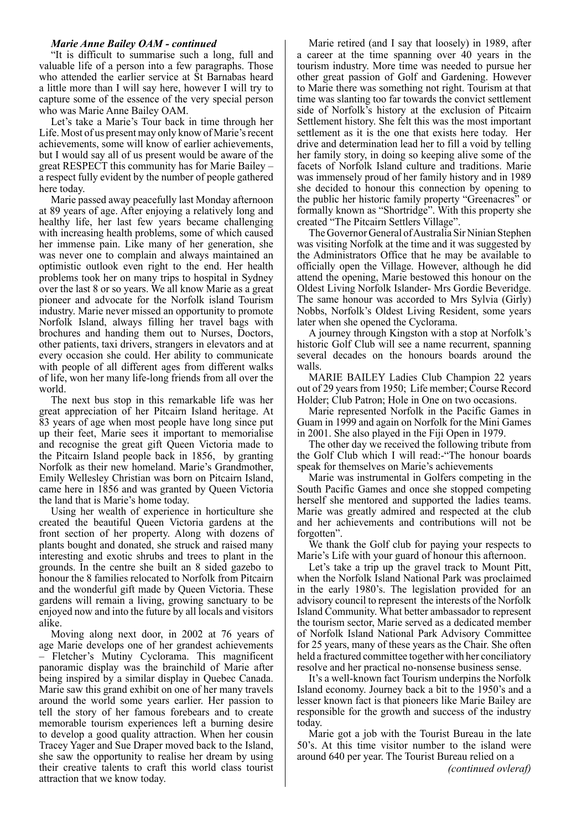"It is difficult to summarise such a long, full and valuable life of a person into a few paragraphs. Those who attended the earlier service at St Barnabas heard a little more than I will say here, however I will try to capture some of the essence of the very special person who was Marie Anne Bailey OAM.

Let's take a Marie's Tour back in time through her Life. Most of us present may only know of Marie's recent achievements, some will know of earlier achievements, but I would say all of us present would be aware of the great RESPECT this community has for Marie Bailey – a respect fully evident by the number of people gathered here today.

Marie passed away peacefully last Monday afternoon at 89 years of age. After enjoying a relatively long and healthy life, her last few years became challenging with increasing health problems, some of which caused her immense pain. Like many of her generation, she was never one to complain and always maintained an optimistic outlook even right to the end. Her health problems took her on many trips to hospital in Sydney over the last 8 or so years. We all know Marie as a great pioneer and advocate for the Norfolk island Tourism industry. Marie never missed an opportunity to promote Norfolk Island, always filling her travel bags with brochures and handing them out to Nurses, Doctors, other patients, taxi drivers, strangers in elevators and at every occasion she could. Her ability to communicate with people of all different ages from different walks of life, won her many life-long friends from all over the world.

The next bus stop in this remarkable life was her great appreciation of her Pitcairn Island heritage. At 83 years of age when most people have long since put up their feet, Marie sees it important to memorialise and recognise the great gift Queen Victoria made to the Pitcairn Island people back in 1856, by granting Norfolk as their new homeland. Marie's Grandmother, Emily Wellesley Christian was born on Pitcairn Island, came here in 1856 and was granted by Queen Victoria the land that is Marie's home today.

Using her wealth of experience in horticulture she created the beautiful Queen Victoria gardens at the front section of her property. Along with dozens of plants bought and donated, she struck and raised many interesting and exotic shrubs and trees to plant in the grounds. In the centre she built an 8 sided gazebo to honour the 8 families relocated to Norfolk from Pitcairn and the wonderful gift made by Queen Victoria. These gardens will remain a living, growing sanctuary to be enjoyed now and into the future by all locals and visitors alike.

Moving along next door, in 2002 at 76 years of age Marie develops one of her grandest achievements – Fletcher's Mutiny Cyclorama. This magnificent panoramic display was the brainchild of Marie after being inspired by a similar display in Quebec Canada. Marie saw this grand exhibit on one of her many travels around the world some years earlier. Her passion to tell the story of her famous forebears and to create memorable tourism experiences left a burning desire to develop a good quality attraction. When her cousin Tracey Yager and Sue Draper moved back to the Island, she saw the opportunity to realise her dream by using their creative talents to craft this world class tourist attraction that we know today.

Marie retired (and I say that loosely) in 1989, after a career at the time spanning over 40 years in the tourism industry. More time was needed to pursue her other great passion of Golf and Gardening. However to Marie there was something not right. Tourism at that time was slanting too far towards the convict settlement side of Norfolk's history at the exclusion of Pitcairn Settlement history. She felt this was the most important settlement as it is the one that exists here today. Her drive and determination lead her to fill a void by telling her family story, in doing so keeping alive some of the facets of Norfolk Island culture and traditions. Marie was immensely proud of her family history and in 1989 she decided to honour this connection by opening to the public her historic family property "Greenacres" or formally known as "Shortridge". With this property she created "The Pitcairn Settlers Village".

The Governor General of Australia Sir Ninian Stephen was visiting Norfolk at the time and it was suggested by the Administrators Office that he may be available to officially open the Village. However, although he did attend the opening, Marie bestowed this honour on the Oldest Living Norfolk Islander- Mrs Gordie Beveridge. The same honour was accorded to Mrs Sylvia (Girly) Nobbs, Norfolk's Oldest Living Resident, some years later when she opened the Cyclorama.

A journey through Kingston with a stop at Norfolk's historic Golf Club will see a name recurrent, spanning several decades on the honours boards around the walls.

MARIE BAILEY Ladies Club Champion 22 years out of 29 years from 1950; Life member; Course Record Holder; Club Patron; Hole in One on two occasions.

Marie represented Norfolk in the Pacific Games in Guam in 1999 and again on Norfolk for the Mini Games in 2001. She also played in the Fiji Open in 1979.

The other day we received the following tribute from the Golf Club which I will read:-"The honour boards speak for themselves on Marie's achievements

Marie was instrumental in Golfers competing in the South Pacific Games and once she stopped competing herself she mentored and supported the ladies teams. Marie was greatly admired and respected at the club and her achievements and contributions will not be forgotten".

We thank the Golf club for paying your respects to Marie's Life with your guard of honour this afternoon.

Let's take a trip up the gravel track to Mount Pitt, when the Norfolk Island National Park was proclaimed in the early 1980's. The legislation provided for an advisory council to represent the interests of the Norfolk Island Community. What better ambassador to represent the tourism sector, Marie served as a dedicated member of Norfolk Island National Park Advisory Committee for 25 years, many of these years as the Chair. She often held a fractured committee together with her conciliatory resolve and her practical no-nonsense business sense.

It's a well-known fact Tourism underpins the Norfolk Island economy. Journey back a bit to the 1950's and a lesser known fact is that pioneers like Marie Bailey are responsible for the growth and success of the industry today.

Marie got a job with the Tourist Bureau in the late 50's. At this time visitor number to the island were around 640 per year. The Tourist Bureau relied on a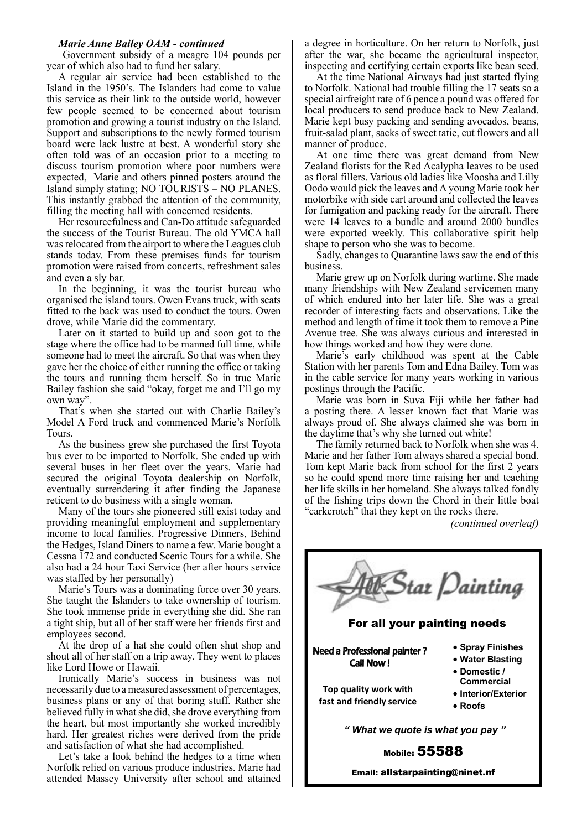Government subsidy of a meagre 104 pounds per year of which also had to fund her salary.

A regular air service had been established to the Island in the 1950's. The Islanders had come to value this service as their link to the outside world, however few people seemed to be concerned about tourism promotion and growing a tourist industry on the Island. Support and subscriptions to the newly formed tourism board were lack lustre at best. A wonderful story she often told was of an occasion prior to a meeting to discuss tourism promotion where poor numbers were expected, Marie and others pinned posters around the Island simply stating; NO TOURISTS – NO PLANES. This instantly grabbed the attention of the community, filling the meeting hall with concerned residents.

Her resourcefulness and Can-Do attitude safeguarded the success of the Tourist Bureau. The old YMCA hall was relocated from the airport to where the Leagues club stands today. From these premises funds for tourism promotion were raised from concerts, refreshment sales and even a sly bar.

In the beginning, it was the tourist bureau who organised the island tours. Owen Evans truck, with seats fitted to the back was used to conduct the tours. Owen drove, while Marie did the commentary.

Later on it started to build up and soon got to the stage where the office had to be manned full time, while someone had to meet the aircraft. So that was when they gave her the choice of either running the office or taking the tours and running them herself. So in true Marie Bailey fashion she said "okay, forget me and I'll go my own way".

That's when she started out with Charlie Bailey's Model A Ford truck and commenced Marie's Norfolk Tours.

As the business grew she purchased the first Toyota bus ever to be imported to Norfolk. She ended up with several buses in her fleet over the years. Marie had secured the original Toyota dealership on Norfolk, eventually surrendering it after finding the Japanese reticent to do business with a single woman.

Many of the tours she pioneered still exist today and providing meaningful employment and supplementary income to local families. Progressive Dinners, Behind the Hedges, Island Diners to name a few. Marie bought a Cessna 172 and conducted Scenic Tours for a while. She also had a 24 hour Taxi Service (her after hours service was staffed by her personally)

Marie's Tours was a dominating force over 30 years. She taught the Islanders to take ownership of tourism. She took immense pride in everything she did. She ran a tight ship, but all of her staff were her friends first and employees second.

At the drop of a hat she could often shut shop and shout all of her staff on a trip away. They went to places like Lord Howe or Hawaii.

Ironically Marie's success in business was not necessarily due to a measured assessment of percentages, business plans or any of that boring stuff. Rather she believed fully in what she did, she drove everything from the heart, but most importantly she worked incredibly hard. Her greatest riches were derived from the pride and satisfaction of what she had accomplished.

Let's take a look behind the hedges to a time when Norfolk relied on various produce industries. Marie had attended Massey University after school and attained a degree in horticulture. On her return to Norfolk, just after the war, she became the agricultural inspector, inspecting and certifying certain exports like bean seed.

At the time National Airways had just started flying to Norfolk. National had trouble filling the 17 seats so a special airfreight rate of 6 pence a pound was offered for local producers to send produce back to New Zealand. Marie kept busy packing and sending avocados, beans, fruit-salad plant, sacks of sweet tatie, cut flowers and all manner of produce.

At one time there was great demand from New Zealand florists for the Red Acalypha leaves to be used as floral fillers. Various old ladies like Moosha and Lilly Oodo would pick the leaves and A young Marie took her motorbike with side cart around and collected the leaves for fumigation and packing ready for the aircraft. There were 14 leaves to a bundle and around 2000 bundles were exported weekly. This collaborative spirit help shape to person who she was to become.

Sadly, changes to Quarantine laws saw the end of this business.

Marie grew up on Norfolk during wartime. She made many friendships with New Zealand servicemen many of which endured into her later life. She was a great recorder of interesting facts and observations. Like the method and length of time it took them to remove a Pine Avenue tree. She was always curious and interested in how things worked and how they were done.

Marie's early childhood was spent at the Cable Station with her parents Tom and Edna Bailey. Tom was in the cable service for many years working in various postings through the Pacific.

Marie was born in Suva Fiji while her father had a posting there. A lesser known fact that Marie was always proud of. She always claimed she was born in the daytime that's why she turned out white!

The family returned back to Norfolk when she was 4. Marie and her father Tom always shared a special bond. Tom kept Marie back from school for the first 2 years so he could spend more time raising her and teaching her life skills in her homeland. She always talked fondly of the fishing trips down the Chord in their little boat "carkcrotch" that they kept on the rocks there.

*(continued overleaf)*